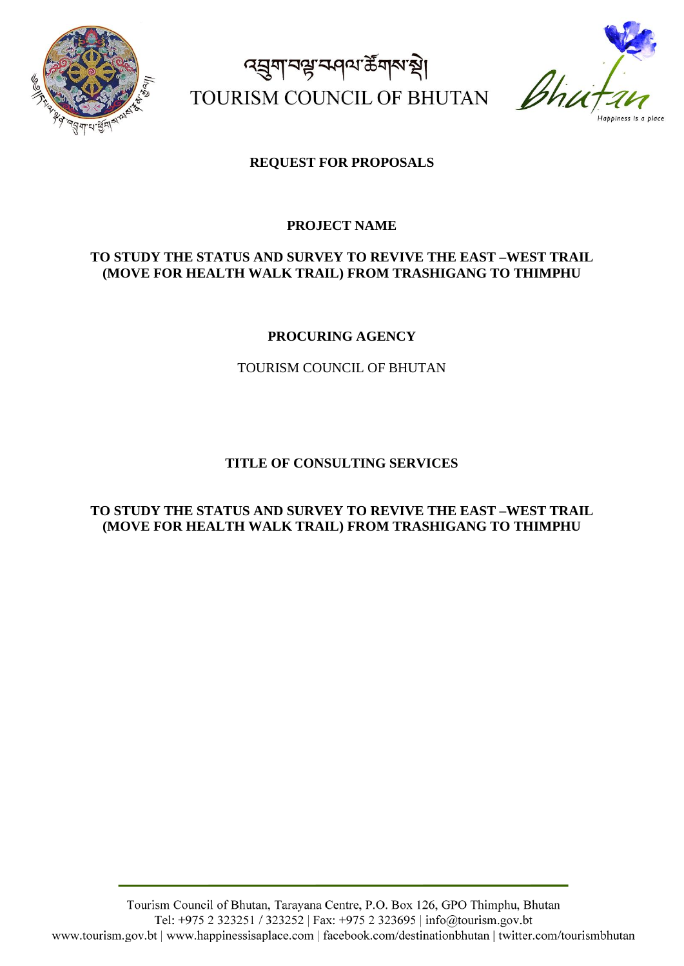

ৰ্ঘ্ৰুণান্মভ্লান্দৰ্শ ক্ষী TOURISM COUNCIL OF BHUTAN  $\beta$ hu



### **REQUEST FOR PROPOSALS**

#### **PROJECT NAME**

#### **TO STUDY THE STATUS AND SURVEY TO REVIVE THE EAST –WEST TRAIL (MOVE FOR HEALTH WALK TRAIL) FROM TRASHIGANG TO THIMPHU**

#### **PROCURING AGENCY**

TOURISM COUNCIL OF BHUTAN

#### **TITLE OF CONSULTING SERVICES**

#### **TO STUDY THE STATUS AND SURVEY TO REVIVE THE EAST –WEST TRAIL (MOVE FOR HEALTH WALK TRAIL) FROM TRASHIGANG TO THIMPHU**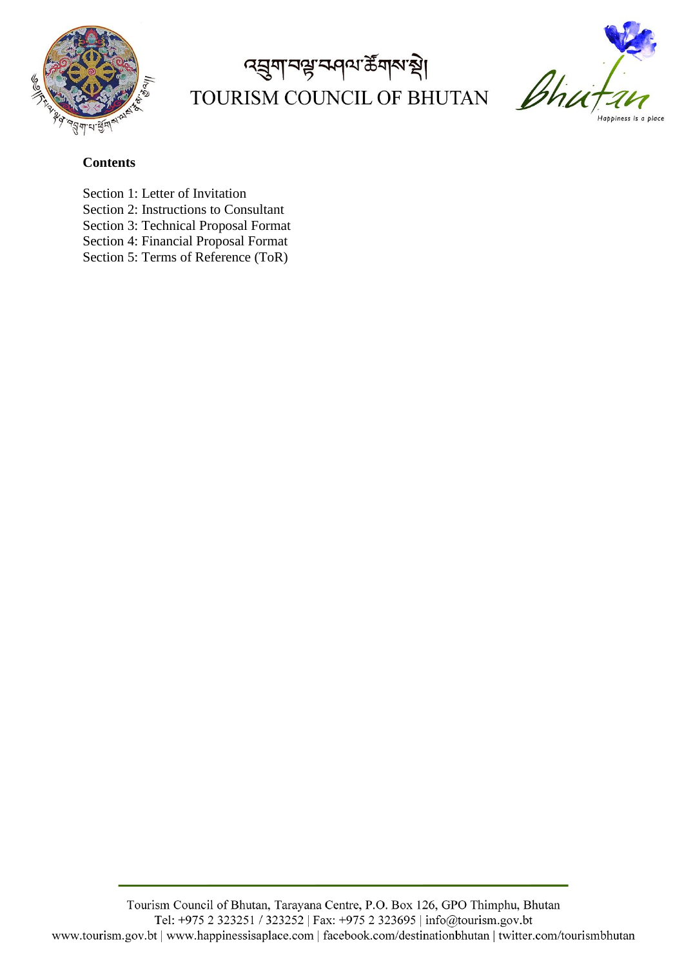

# द्धुगानञ्जन्मवा के गारा थे। TOURISM COUNCIL OF BHUTAN



### **Contents**

- Section 1: Letter of Invitation
- Section 2: Instructions to Consultant
- Section 3: Technical Proposal Format
- Section 4: Financial Proposal Format
- Section 5: Terms of Reference (ToR)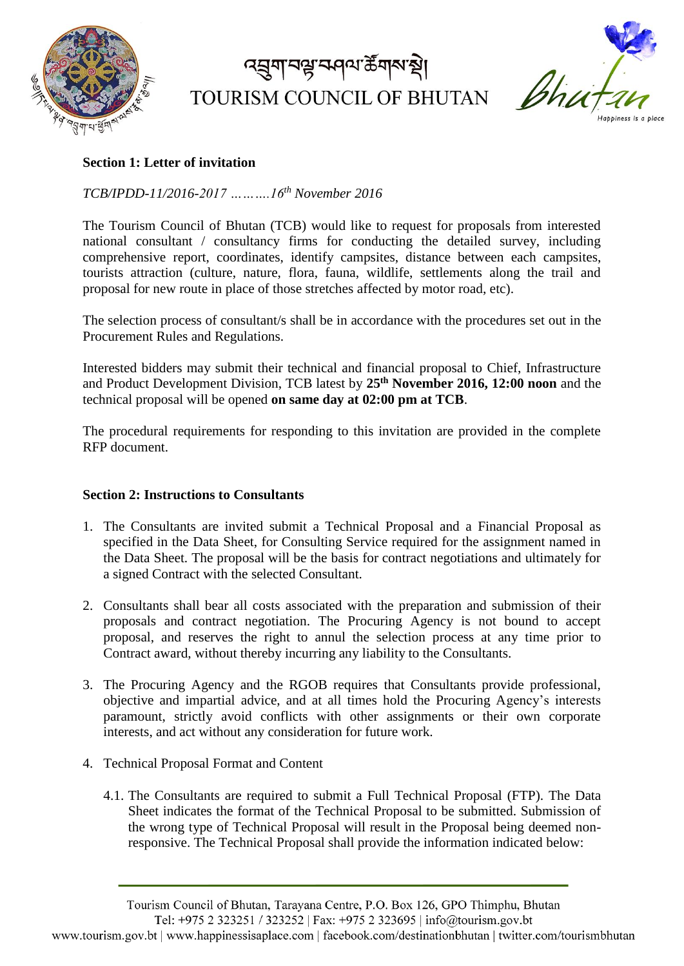

# द्मुगानञ्जन्मवा के गारा थे। TOURISM COUNCIL OF BHUTAN



### **Section 1: Letter of invitation**

### *TCB/IPDD-11/2016-2017 ……….16th November 2016*

The Tourism Council of Bhutan (TCB) would like to request for proposals from interested national consultant / consultancy firms for conducting the detailed survey, including comprehensive report, coordinates, identify campsites, distance between each campsites, tourists attraction (culture, nature, flora, fauna, wildlife, settlements along the trail and proposal for new route in place of those stretches affected by motor road, etc).

The selection process of consultant/s shall be in accordance with the procedures set out in the Procurement Rules and Regulations.

Interested bidders may submit their technical and financial proposal to Chief, Infrastructure and Product Development Division, TCB latest by **25th November 2016, 12:00 noon** and the technical proposal will be opened **on same day at 02:00 pm at TCB**.

The procedural requirements for responding to this invitation are provided in the complete RFP document.

#### **Section 2: Instructions to Consultants**

- 1. The Consultants are invited submit a Technical Proposal and a Financial Proposal as specified in the Data Sheet, for Consulting Service required for the assignment named in the Data Sheet. The proposal will be the basis for contract negotiations and ultimately for a signed Contract with the selected Consultant.
- 2. Consultants shall bear all costs associated with the preparation and submission of their proposals and contract negotiation. The Procuring Agency is not bound to accept proposal, and reserves the right to annul the selection process at any time prior to Contract award, without thereby incurring any liability to the Consultants.
- 3. The Procuring Agency and the RGOB requires that Consultants provide professional, objective and impartial advice, and at all times hold the Procuring Agency's interests paramount, strictly avoid conflicts with other assignments or their own corporate interests, and act without any consideration for future work.
- 4. Technical Proposal Format and Content
	- 4.1. The Consultants are required to submit a Full Technical Proposal (FTP). The Data Sheet indicates the format of the Technical Proposal to be submitted. Submission of the wrong type of Technical Proposal will result in the Proposal being deemed nonresponsive. The Technical Proposal shall provide the information indicated below:

Tourism Council of Bhutan, Tarayana Centre, P.O. Box 126, GPO Thimphu, Bhutan Tel: +975 2 323251 / 323252 | Fax: +975 2 323695 | info@tourism.gov.bt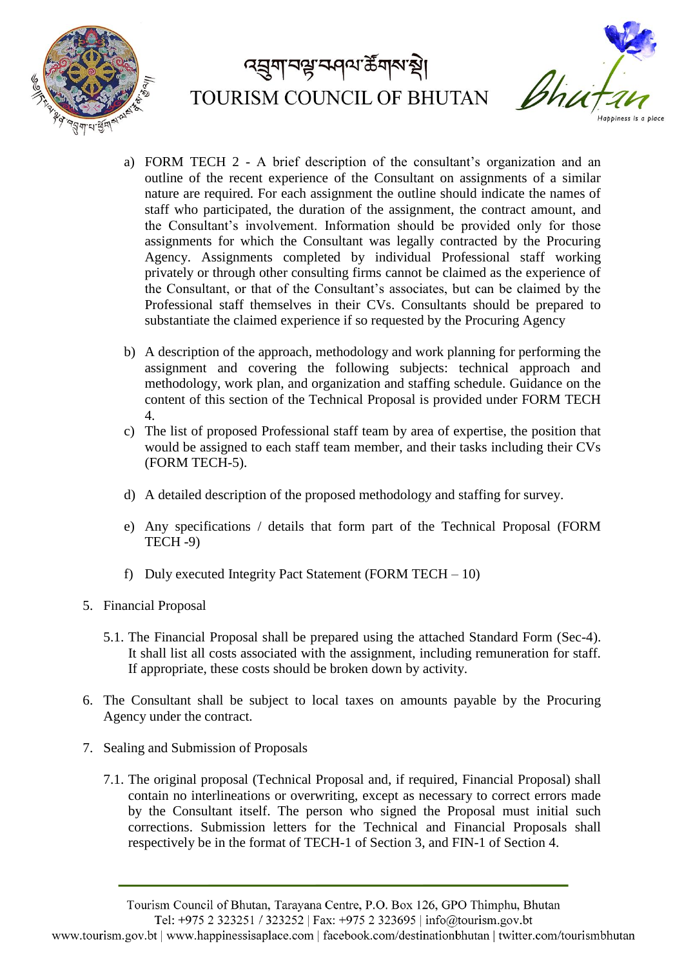



- a) FORM TECH 2 A brief description of the consultant's organization and an outline of the recent experience of the Consultant on assignments of a similar nature are required. For each assignment the outline should indicate the names of staff who participated, the duration of the assignment, the contract amount, and the Consultant's involvement. Information should be provided only for those assignments for which the Consultant was legally contracted by the Procuring Agency. Assignments completed by individual Professional staff working privately or through other consulting firms cannot be claimed as the experience of the Consultant, or that of the Consultant's associates, but can be claimed by the Professional staff themselves in their CVs. Consultants should be prepared to substantiate the claimed experience if so requested by the Procuring Agency
- b) A description of the approach, methodology and work planning for performing the assignment and covering the following subjects: technical approach and methodology, work plan, and organization and staffing schedule. Guidance on the content of this section of the Technical Proposal is provided under FORM TECH 4.
- c) The list of proposed Professional staff team by area of expertise, the position that would be assigned to each staff team member, and their tasks including their CVs (FORM TECH-5).
- d) A detailed description of the proposed methodology and staffing for survey.
- e) Any specifications / details that form part of the Technical Proposal (FORM TECH -9)
- f) Duly executed Integrity Pact Statement (FORM TECH  $-10$ )
- 5. Financial Proposal
	- 5.1. The Financial Proposal shall be prepared using the attached Standard Form (Sec-4). It shall list all costs associated with the assignment, including remuneration for staff. If appropriate, these costs should be broken down by activity.
- 6. The Consultant shall be subject to local taxes on amounts payable by the Procuring Agency under the contract.
- 7. Sealing and Submission of Proposals
	- 7.1. The original proposal (Technical Proposal and, if required, Financial Proposal) shall contain no interlineations or overwriting, except as necessary to correct errors made by the Consultant itself. The person who signed the Proposal must initial such corrections. Submission letters for the Technical and Financial Proposals shall respectively be in the format of TECH-1 of Section 3, and FIN-1 of Section 4.

Tourism Council of Bhutan, Tarayana Centre, P.O. Box 126, GPO Thimphu, Bhutan

Tel: +975 2 323251 / 323252 | Fax: +975 2 323695 | info@tourism.gov.bt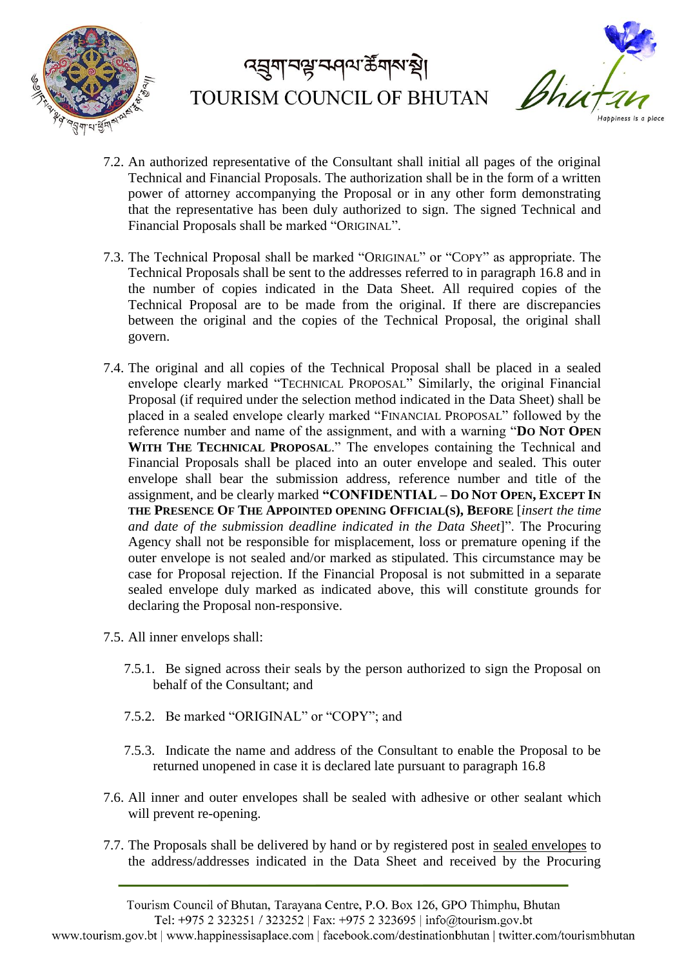



- 7.2. An authorized representative of the Consultant shall initial all pages of the original Technical and Financial Proposals. The authorization shall be in the form of a written power of attorney accompanying the Proposal or in any other form demonstrating that the representative has been duly authorized to sign. The signed Technical and Financial Proposals shall be marked "ORIGINAL".
- 7.3. The Technical Proposal shall be marked "ORIGINAL" or "COPY" as appropriate. The Technical Proposals shall be sent to the addresses referred to in paragraph 16.8 and in the number of copies indicated in the Data Sheet. All required copies of the Technical Proposal are to be made from the original. If there are discrepancies between the original and the copies of the Technical Proposal, the original shall govern.
- 7.4. The original and all copies of the Technical Proposal shall be placed in a sealed envelope clearly marked "TECHNICAL PROPOSAL" Similarly, the original Financial Proposal (if required under the selection method indicated in the Data Sheet) shall be placed in a sealed envelope clearly marked "FINANCIAL PROPOSAL" followed by the reference number and name of the assignment, and with a warning "**DO NOT OPEN**  WITH THE TECHNICAL PROPOSAL." The envelopes containing the Technical and Financial Proposals shall be placed into an outer envelope and sealed. This outer envelope shall bear the submission address, reference number and title of the assignment, and be clearly marked **"CONFIDENTIAL – DO NOT OPEN, EXCEPT IN THE PRESENCE OF THE APPOINTED OPENING OFFICIAL(S), BEFORE** [*insert the time and date of the submission deadline indicated in the Data Sheet*]". The Procuring Agency shall not be responsible for misplacement, loss or premature opening if the outer envelope is not sealed and/or marked as stipulated. This circumstance may be case for Proposal rejection. If the Financial Proposal is not submitted in a separate sealed envelope duly marked as indicated above, this will constitute grounds for declaring the Proposal non-responsive.
- 7.5. All inner envelops shall:
	- 7.5.1. Be signed across their seals by the person authorized to sign the Proposal on behalf of the Consultant; and
	- 7.5.2. Be marked "ORIGINAL" or "COPY"; and
	- 7.5.3. Indicate the name and address of the Consultant to enable the Proposal to be returned unopened in case it is declared late pursuant to paragraph 16.8
- 7.6. All inner and outer envelopes shall be sealed with adhesive or other sealant which will prevent re-opening.
- 7.7. The Proposals shall be delivered by hand or by registered post in sealed envelopes to the address/addresses indicated in the Data Sheet and received by the Procuring

Tourism Council of Bhutan, Tarayana Centre, P.O. Box 126, GPO Thimphu, Bhutan Tel: +975 2 323251 / 323252 | Fax: +975 2 323695 | info@tourism.gov.bt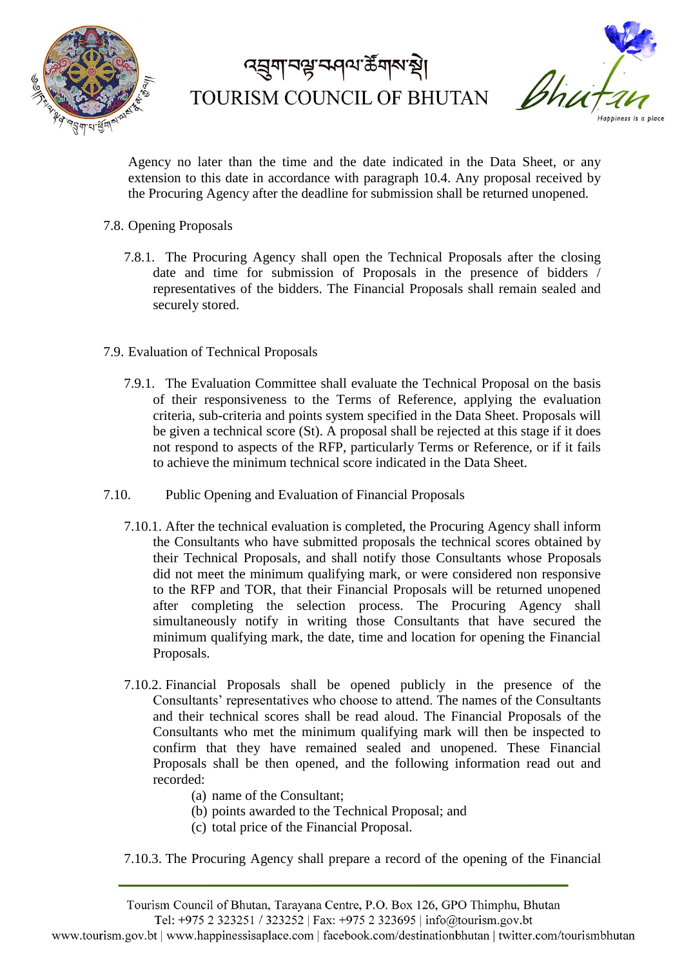



Agency no later than the time and the date indicated in the Data Sheet, or any extension to this date in accordance with paragraph 10.4. Any proposal received by the Procuring Agency after the deadline for submission shall be returned unopened.

- 7.8. Opening Proposals
	- 7.8.1. The Procuring Agency shall open the Technical Proposals after the closing date and time for submission of Proposals in the presence of bidders / representatives of the bidders. The Financial Proposals shall remain sealed and securely stored.
- 7.9. Evaluation of Technical Proposals
	- 7.9.1. The Evaluation Committee shall evaluate the Technical Proposal on the basis of their responsiveness to the Terms of Reference, applying the evaluation criteria, sub-criteria and points system specified in the Data Sheet. Proposals will be given a technical score (St). A proposal shall be rejected at this stage if it does not respond to aspects of the RFP, particularly Terms or Reference, or if it fails to achieve the minimum technical score indicated in the Data Sheet.
- 7.10. Public Opening and Evaluation of Financial Proposals
	- 7.10.1. After the technical evaluation is completed, the Procuring Agency shall inform the Consultants who have submitted proposals the technical scores obtained by their Technical Proposals, and shall notify those Consultants whose Proposals did not meet the minimum qualifying mark, or were considered non responsive to the RFP and TOR, that their Financial Proposals will be returned unopened after completing the selection process. The Procuring Agency shall simultaneously notify in writing those Consultants that have secured the minimum qualifying mark, the date, time and location for opening the Financial Proposals.
	- 7.10.2. Financial Proposals shall be opened publicly in the presence of the Consultants' representatives who choose to attend. The names of the Consultants and their technical scores shall be read aloud. The Financial Proposals of the Consultants who met the minimum qualifying mark will then be inspected to confirm that they have remained sealed and unopened. These Financial Proposals shall be then opened, and the following information read out and recorded:
		- (a) name of the Consultant;
		- (b) points awarded to the Technical Proposal; and
		- (c) total price of the Financial Proposal.
	- 7.10.3. The Procuring Agency shall prepare a record of the opening of the Financial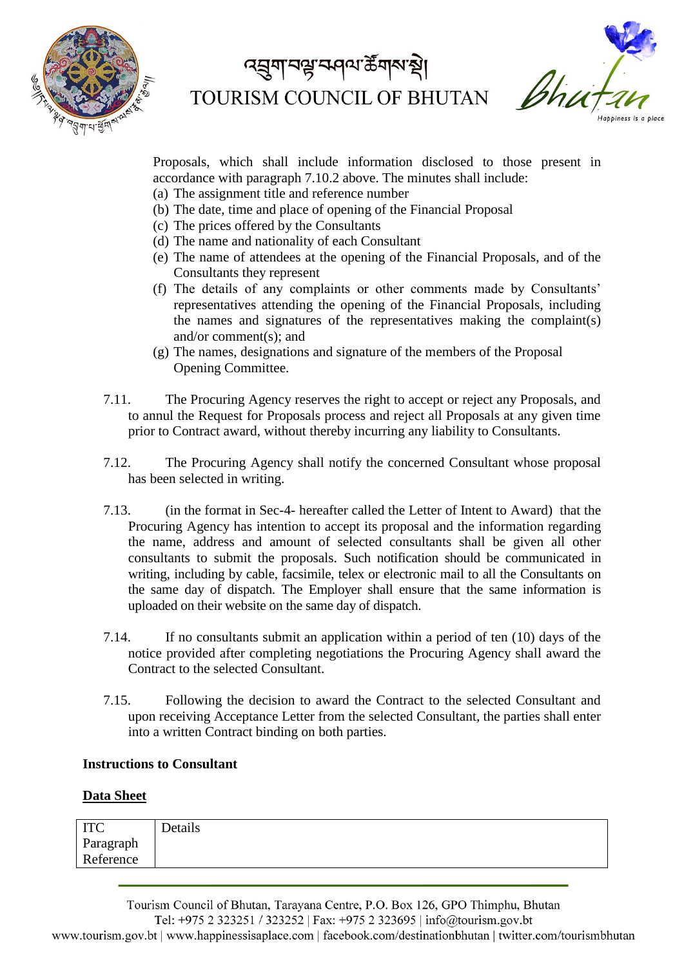



Proposals, which shall include information disclosed to those present in accordance with paragraph 7.10.2 above. The minutes shall include:

- (a) The assignment title and reference number
- (b) The date, time and place of opening of the Financial Proposal
- (c) The prices offered by the Consultants
- (d) The name and nationality of each Consultant
- (e) The name of attendees at the opening of the Financial Proposals, and of the Consultants they represent
- (f) The details of any complaints or other comments made by Consultants' representatives attending the opening of the Financial Proposals, including the names and signatures of the representatives making the complaint(s) and/or comment(s); and
- (g) The names, designations and signature of the members of the Proposal Opening Committee.
- 7.11. The Procuring Agency reserves the right to accept or reject any Proposals, and to annul the Request for Proposals process and reject all Proposals at any given time prior to Contract award, without thereby incurring any liability to Consultants.
- 7.12. The Procuring Agency shall notify the concerned Consultant whose proposal has been selected in writing.
- 7.13. (in the format in Sec-4- hereafter called the Letter of Intent to Award) that the Procuring Agency has intention to accept its proposal and the information regarding the name, address and amount of selected consultants shall be given all other consultants to submit the proposals. Such notification should be communicated in writing, including by cable, facsimile, telex or electronic mail to all the Consultants on the same day of dispatch. The Employer shall ensure that the same information is uploaded on their website on the same day of dispatch.
- 7.14. If no consultants submit an application within a period of ten (10) days of the notice provided after completing negotiations the Procuring Agency shall award the Contract to the selected Consultant.
- 7.15. Following the decision to award the Contract to the selected Consultant and upon receiving Acceptance Letter from the selected Consultant, the parties shall enter into a written Contract binding on both parties.

#### **Instructions to Consultant**

#### **Data Sheet**

| TTC<br>11 V | Details |  |
|-------------|---------|--|
| Paragraph   |         |  |
| Reference   |         |  |

Tourism Council of Bhutan, Tarayana Centre, P.O. Box 126, GPO Thimphu, Bhutan Tel: +975 2 323251 / 323252 | Fax: +975 2 323695 | info@tourism.gov.bt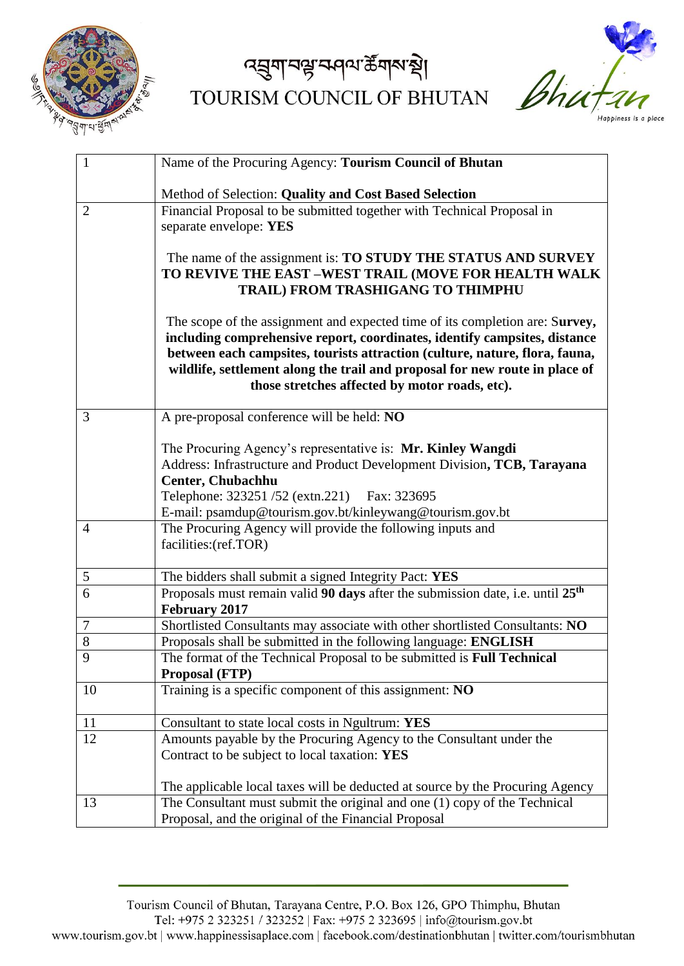

द्धुगानञ्जन्मवा के गारा थे। TOURISM COUNCIL OF BHUTAN



| 1              | Name of the Procuring Agency: Tourism Council of Bhutan                                    |
|----------------|--------------------------------------------------------------------------------------------|
|                |                                                                                            |
|                | Method of Selection: Quality and Cost Based Selection                                      |
| $\overline{2}$ | Financial Proposal to be submitted together with Technical Proposal in                     |
|                | separate envelope: YES                                                                     |
|                |                                                                                            |
|                | The name of the assignment is: TO STUDY THE STATUS AND SURVEY                              |
|                | TO REVIVE THE EAST -WEST TRAIL (MOVE FOR HEALTH WALK<br>TRAIL) FROM TRASHIGANG TO THIMPHU  |
|                |                                                                                            |
|                | The scope of the assignment and expected time of its completion are: Survey,               |
|                | including comprehensive report, coordinates, identify campsites, distance                  |
|                | between each campsites, tourists attraction (culture, nature, flora, fauna,                |
|                | wildlife, settlement along the trail and proposal for new route in place of                |
|                | those stretches affected by motor roads, etc).                                             |
|                |                                                                                            |
| 3              | A pre-proposal conference will be held: NO                                                 |
|                |                                                                                            |
|                | The Procuring Agency's representative is: Mr. Kinley Wangdi                                |
|                | Address: Infrastructure and Product Development Division, TCB, Tarayana                    |
|                | <b>Center, Chubachhu</b>                                                                   |
|                | Telephone: 323251/52 (extn.221) Fax: 323695                                                |
|                | E-mail: psamdup@tourism.gov.bt/kinleywang@tourism.gov.bt                                   |
| $\overline{4}$ | The Procuring Agency will provide the following inputs and                                 |
|                | facilities: (ref.TOR)                                                                      |
| 5              | The bidders shall submit a signed Integrity Pact: YES                                      |
| 6              | Proposals must remain valid 90 days after the submission date, i.e. until 25 <sup>th</sup> |
|                | <b>February 2017</b>                                                                       |
| 7              | Shortlisted Consultants may associate with other shortlisted Consultants: NO               |
| 8              | Proposals shall be submitted in the following language: ENGLISH                            |
| $\overline{Q}$ | The format of the Technical Proposal to be submitted is <b>Full Technical</b>              |
|                | <b>Proposal (FTP)</b>                                                                      |
| 10             | Training is a specific component of this assignment: NO                                    |
|                |                                                                                            |
| 11             | Consultant to state local costs in Ngultrum: YES                                           |
| 12             | Amounts payable by the Procuring Agency to the Consultant under the                        |
|                | Contract to be subject to local taxation: YES                                              |
|                | The applicable local taxes will be deducted at source by the Procuring Agency              |
| 13             | The Consultant must submit the original and one (1) copy of the Technical                  |
|                |                                                                                            |
|                | Proposal, and the original of the Financial Proposal                                       |

Tourism Council of Bhutan, Tarayana Centre, P.O. Box 126, GPO Thimphu, Bhutan

Tel: +975 2 323251 / 323252 | Fax: +975 2 323695 | info@tourism.gov.bt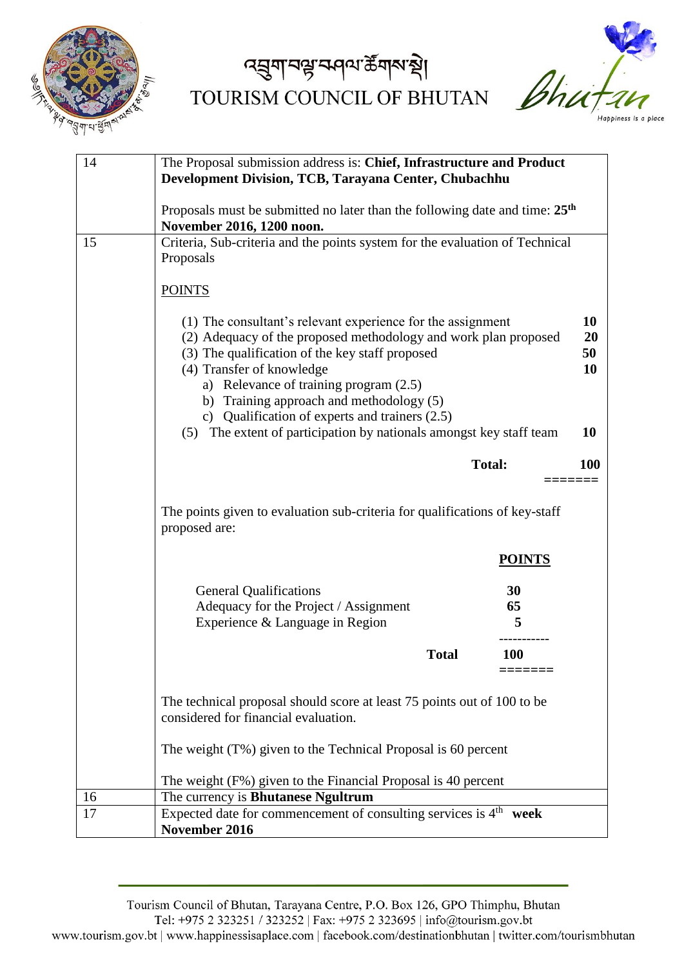

# द्धुगानञ्जन्मवा के गारा थे। TOURISM COUNCIL OF BHUTAN



| 14 | The Proposal submission address is: Chief, Infrastructure and Product<br><b>Development Division, TCB, Tarayana Center, Chubachhu</b>                                                                                                                                                                                                                                                                                              |               |                                   |
|----|------------------------------------------------------------------------------------------------------------------------------------------------------------------------------------------------------------------------------------------------------------------------------------------------------------------------------------------------------------------------------------------------------------------------------------|---------------|-----------------------------------|
|    | Proposals must be submitted no later than the following date and time: $25th$<br>November 2016, 1200 noon.                                                                                                                                                                                                                                                                                                                         |               |                                   |
| 15 | Criteria, Sub-criteria and the points system for the evaluation of Technical<br>Proposals                                                                                                                                                                                                                                                                                                                                          |               |                                   |
|    | <b>POINTS</b>                                                                                                                                                                                                                                                                                                                                                                                                                      |               |                                   |
|    | (1) The consultant's relevant experience for the assignment<br>(2) Adequacy of the proposed methodology and work plan proposed<br>(3) The qualification of the key staff proposed<br>(4) Transfer of knowledge<br>a) Relevance of training program (2.5)<br>b) Training approach and methodology (5)<br>c) Qualification of experts and trainers $(2.5)$<br>The extent of participation by nationals amongst key staff team<br>(5) |               | 10<br>20<br>50<br>10<br><b>10</b> |
|    |                                                                                                                                                                                                                                                                                                                                                                                                                                    | <b>Total:</b> | <b>100</b>                        |
|    | The points given to evaluation sub-criteria for qualifications of key-staff<br>proposed are:                                                                                                                                                                                                                                                                                                                                       |               |                                   |
|    |                                                                                                                                                                                                                                                                                                                                                                                                                                    | <b>POINTS</b> |                                   |
|    | <b>General Qualifications</b><br>Adequacy for the Project / Assignment                                                                                                                                                                                                                                                                                                                                                             | 30<br>65      |                                   |
|    | Experience & Language in Region                                                                                                                                                                                                                                                                                                                                                                                                    | 5             |                                   |
|    | <b>Total</b>                                                                                                                                                                                                                                                                                                                                                                                                                       | <b>100</b>    |                                   |
|    | The technical proposal should score at least 75 points out of 100 to be<br>considered for financial evaluation.                                                                                                                                                                                                                                                                                                                    |               |                                   |
|    | The weight $(T\%)$ given to the Technical Proposal is 60 percent                                                                                                                                                                                                                                                                                                                                                                   |               |                                   |
|    | The weight (F%) given to the Financial Proposal is 40 percent                                                                                                                                                                                                                                                                                                                                                                      |               |                                   |
| 16 | The currency is <b>Bhutanese Ngultrum</b>                                                                                                                                                                                                                                                                                                                                                                                          |               |                                   |
| 17 | Expected date for commencement of consulting services is 4 <sup>th</sup> week<br>November 2016                                                                                                                                                                                                                                                                                                                                     |               |                                   |

Tourism Council of Bhutan, Tarayana Centre, P.O. Box 126, GPO Thimphu, Bhutan

Tel: +975 2 323251 / 323252 | Fax: +975 2 323695 | info@tourism.gov.bt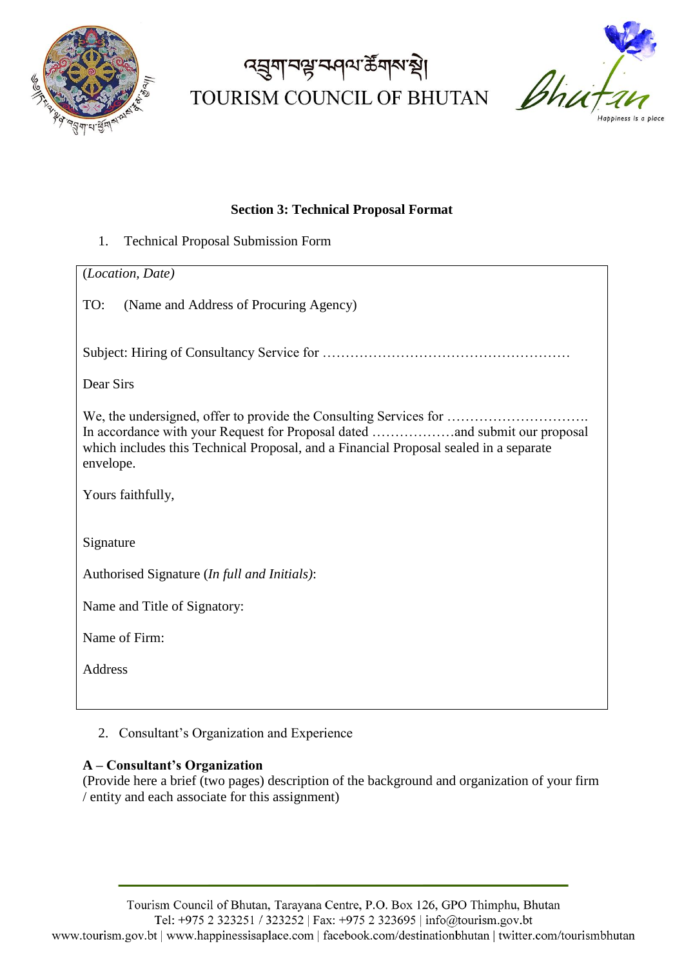

# ৰ্ঘ্ৰুণবিষ্ট কৰি ক্ষুদ্ৰ TOURISM COUNCIL OF BHUTAN



#### **Section 3: Technical Proposal Format**

1. Technical Proposal Submission Form

#### 2. Consultant's Organization and Experience

### **A – Consultant's Organization**

(Provide here a brief (two pages) description of the background and organization of your firm / entity and each associate for this assignment)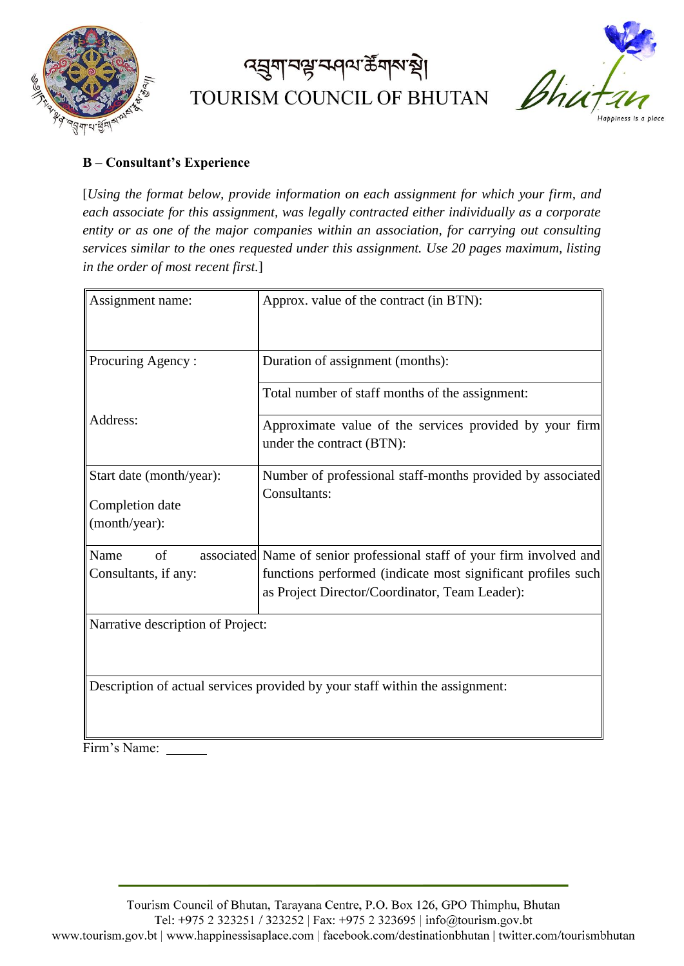

# ৰ্ঘ্ৰুণবিষ্ট কৰি ক্ষুদ্ৰ TOURISM COUNCIL OF BHUTAN



### **B – Consultant's Experience**

[*Using the format below, provide information on each assignment for which your firm, and each associate for this assignment, was legally contracted either individually as a corporate entity or as one of the major companies within an association, for carrying out consulting services similar to the ones requested under this assignment. Use 20 pages maximum, listing in the order of most recent first.*]

| Assignment name:                  | Approx. value of the contract (in BTN):                                              |
|-----------------------------------|--------------------------------------------------------------------------------------|
| Procuring Agency:                 | Duration of assignment (months):                                                     |
|                                   | Total number of staff months of the assignment:                                      |
| Address:                          | Approximate value of the services provided by your firm<br>under the contract (BTN): |
| Start date (month/year):          | Number of professional staff-months provided by associated                           |
| Completion date                   | Consultants:                                                                         |
| (month/year):                     |                                                                                      |
| Name<br>of                        | associated Name of senior professional staff of your firm involved and               |
| Consultants, if any:              | functions performed (indicate most significant profiles such                         |
|                                   | as Project Director/Coordinator, Team Leader):                                       |
| Narrative description of Project: |                                                                                      |
|                                   | Description of actual services provided by your staff within the assignment:         |

Firm's Name: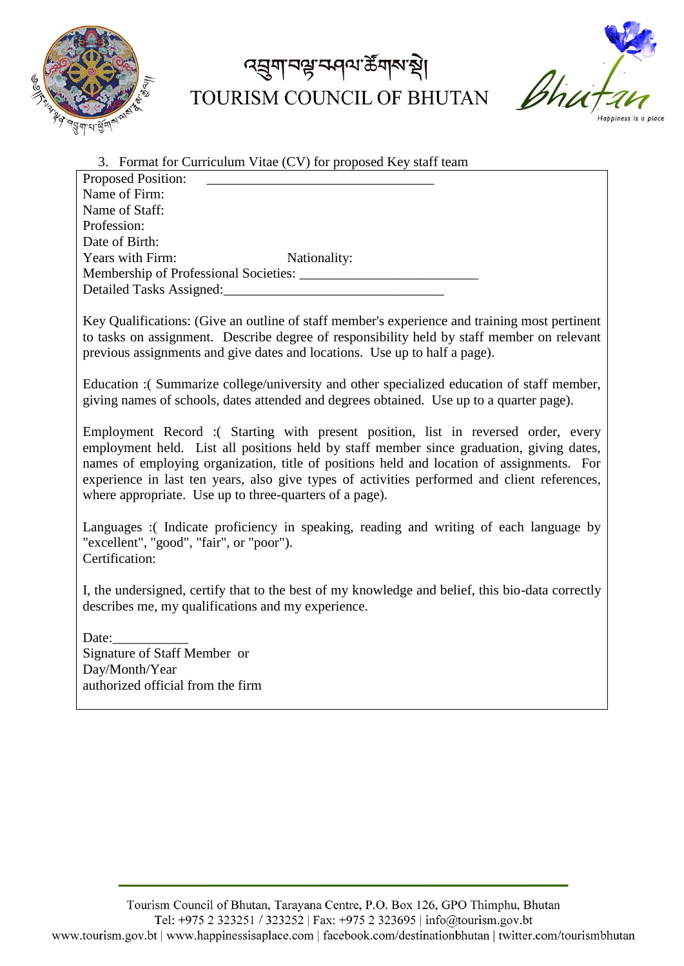

### ৰ্ঘ্ৰুণ বঙ্ক কৰি কুৱাৰ প্ৰা TOURISM COUNCIL OF BHUTAN



| 3. Format for Curriculum Vitae (CV) for proposed Key staff team |              |
|-----------------------------------------------------------------|--------------|
| <b>Proposed Position:</b>                                       |              |
| Name of Firm:                                                   |              |
| Name of Staff:                                                  |              |
| Profession:                                                     |              |
| Date of Birth:                                                  |              |
| Years with Firm:                                                | Nationality: |
| Membership of Professional Societies:                           |              |
| Detailed Tasks Assigned:                                        |              |
|                                                                 |              |

Key Qualifications: (Give an outline of staff member's experience and training most pertinent to tasks on assignment. Describe degree of responsibility held by staff member on relevant previous assignments and give dates and locations. Use up to half a page).

Education :( Summarize college/university and other specialized education of staff member, giving names of schools, dates attended and degrees obtained. Use up to a quarter page).

Employment Record :( Starting with present position, list in reversed order, every employment held. List all positions held by staff member since graduation, giving dates, names of employing organization, title of positions held and location of assignments. For experience in last ten years, also give types of activities performed and client references, where appropriate. Use up to three-quarters of a page).

Languages :( Indicate proficiency in speaking, reading and writing of each language by "excellent", "good", "fair", or "poor"). Certification:

I, the undersigned, certify that to the best of my knowledge and belief, this bio-data correctly describes me, my qualifications and my experience.

Date: Signature of Staff Member or Day/Month/Year authorized official from the firm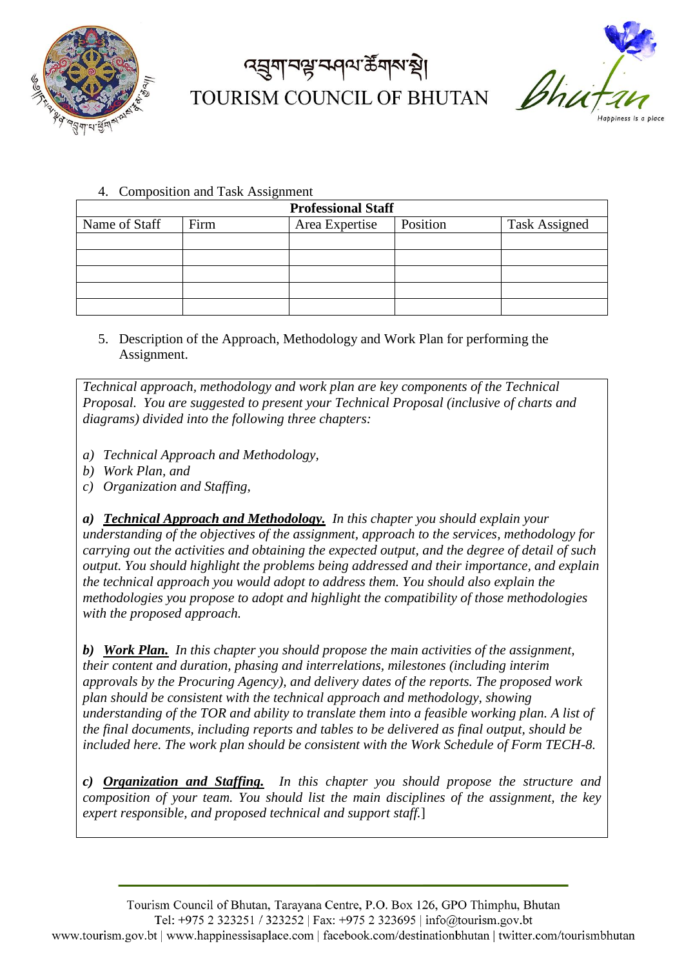

# <u>ব্রু</u>মাবণ্ড্র ক্ষান্য স্ট্রম্বা TOURISM COUNCIL OF BHUTAN



4. Composition and Task Assignment

| <b>Professional Staff</b> |      |                |          |                      |  |  |  |  |  |
|---------------------------|------|----------------|----------|----------------------|--|--|--|--|--|
| Name of Staff             | Firm | Area Expertise | Position | <b>Task Assigned</b> |  |  |  |  |  |
|                           |      |                |          |                      |  |  |  |  |  |
|                           |      |                |          |                      |  |  |  |  |  |
|                           |      |                |          |                      |  |  |  |  |  |
|                           |      |                |          |                      |  |  |  |  |  |
|                           |      |                |          |                      |  |  |  |  |  |

5. Description of the Approach, Methodology and Work Plan for performing the Assignment.

*Technical approach, methodology and work plan are key components of the Technical Proposal. You are suggested to present your Technical Proposal (inclusive of charts and diagrams) divided into the following three chapters:*

- *a) Technical Approach and Methodology,*
- *b) Work Plan, and*
- *c) Organization and Staffing,*

*a) Technical Approach and Methodology. In this chapter you should explain your understanding of the objectives of the assignment, approach to the services, methodology for carrying out the activities and obtaining the expected output, and the degree of detail of such output. You should highlight the problems being addressed and their importance, and explain the technical approach you would adopt to address them. You should also explain the methodologies you propose to adopt and highlight the compatibility of those methodologies with the proposed approach.*

*b) Work Plan. In this chapter you should propose the main activities of the assignment, their content and duration, phasing and interrelations, milestones (including interim approvals by the Procuring Agency), and delivery dates of the reports. The proposed work plan should be consistent with the technical approach and methodology, showing understanding of the TOR and ability to translate them into a feasible working plan. A list of the final documents, including reports and tables to be delivered as final output, should be included here. The work plan should be consistent with the Work Schedule of Form TECH-8.* 

*c) Organization and Staffing. In this chapter you should propose the structure and composition of your team. You should list the main disciplines of the assignment, the key expert responsible, and proposed technical and support staff.*]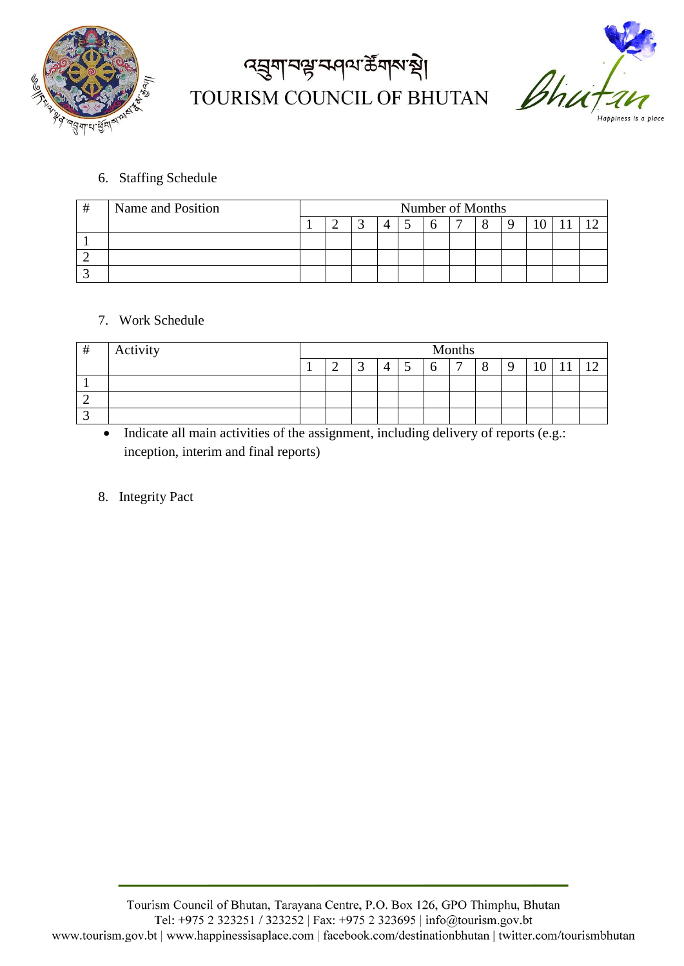

# द्मुगानञ्जन्मवा क्षेत्रारुखे। TOURISM COUNCIL OF BHUTAN



### 6. Staffing Schedule

| Name and Position | Number of Months |  |  |  |  |  |  |  |  |
|-------------------|------------------|--|--|--|--|--|--|--|--|
|                   |                  |  |  |  |  |  |  |  |  |
|                   |                  |  |  |  |  |  |  |  |  |
|                   |                  |  |  |  |  |  |  |  |  |
|                   |                  |  |  |  |  |  |  |  |  |

### 7. Work Schedule

| # | Activity | Months |   |  |  |  |   |   |  |  |  |
|---|----------|--------|---|--|--|--|---|---|--|--|--|
|   |          |        | ∸ |  |  |  | O | − |  |  |  |
|   |          |        |   |  |  |  |   |   |  |  |  |
|   |          |        |   |  |  |  |   |   |  |  |  |
|   |          |        |   |  |  |  |   |   |  |  |  |

• Indicate all main activities of the assignment, including delivery of reports (e.g.: inception, interim and final reports)

### 8. Integrity Pact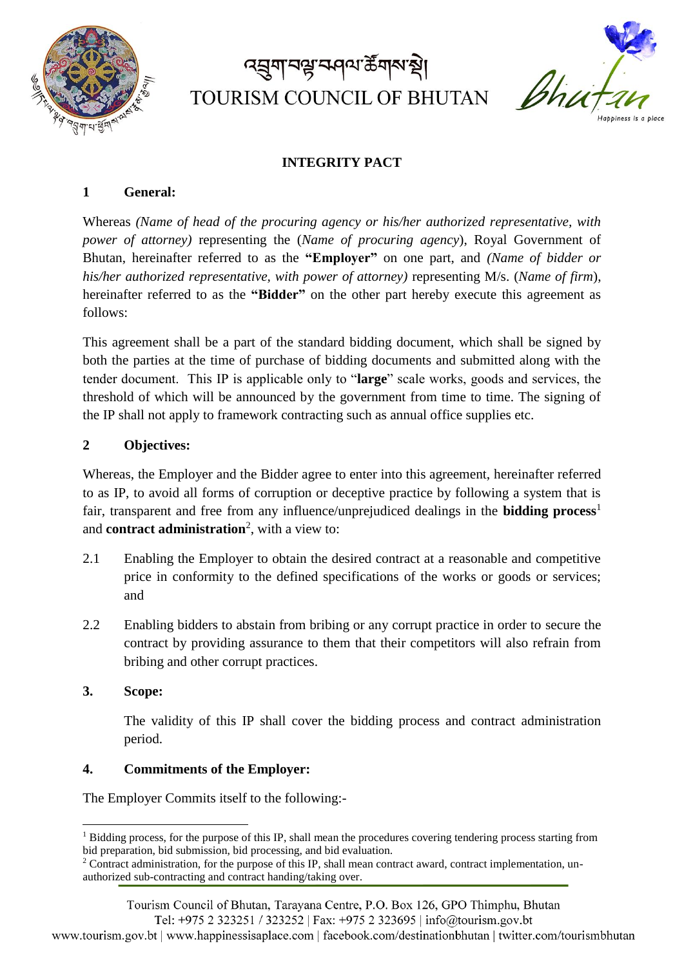

# *ব*র্মুনা বঙ্গ ক্রান ক্রী TOURISM COUNCIL OF BHUTAN



### **INTEGRITY PACT**

#### **1 General:**

Whereas *(Name of head of the procuring agency or his/her authorized representative, with power of attorney)* representing the (*Name of procuring agency*), Royal Government of Bhutan, hereinafter referred to as the **"Employer"** on one part, and *(Name of bidder or his/her authorized representative, with power of attorney)* representing M/s. (*Name of firm*), hereinafter referred to as the **"Bidder"** on the other part hereby execute this agreement as follows:

This agreement shall be a part of the standard bidding document, which shall be signed by both the parties at the time of purchase of bidding documents and submitted along with the tender document. This IP is applicable only to "**large**" scale works, goods and services, the threshold of which will be announced by the government from time to time. The signing of the IP shall not apply to framework contracting such as annual office supplies etc.

#### **2 Objectives:**

Whereas, the Employer and the Bidder agree to enter into this agreement, hereinafter referred to as IP, to avoid all forms of corruption or deceptive practice by following a system that is fair, transparent and free from any influence/unprejudiced dealings in the **bidding process**<sup>1</sup> and **contract administration**<sup>2</sup> , with a view to:

- 2.1 Enabling the Employer to obtain the desired contract at a reasonable and competitive price in conformity to the defined specifications of the works or goods or services; and
- 2.2 Enabling bidders to abstain from bribing or any corrupt practice in order to secure the contract by providing assurance to them that their competitors will also refrain from bribing and other corrupt practices.
- **3. Scope:**

**.** 

The validity of this IP shall cover the bidding process and contract administration period.

#### **4. Commitments of the Employer:**

The Employer Commits itself to the following:-

 $1$  Bidding process, for the purpose of this IP, shall mean the procedures covering tendering process starting from bid preparation, bid submission, bid processing, and bid evaluation.

<sup>&</sup>lt;sup>2</sup> Contract administration, for the purpose of this IP, shall mean contract award, contract implementation, unauthorized sub-contracting and contract handing/taking over.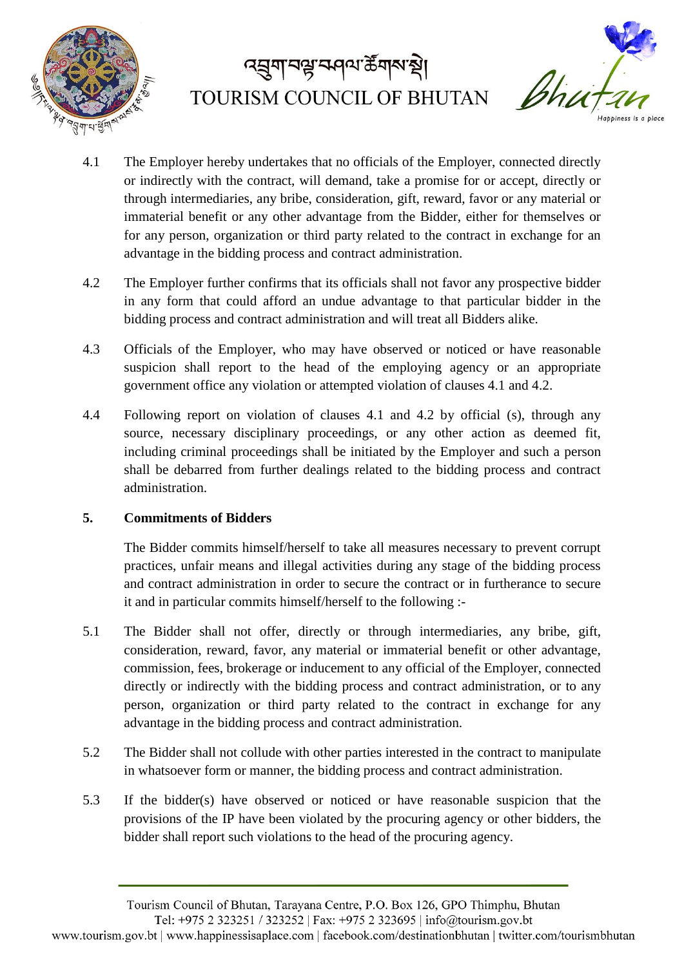



- 4.1 The Employer hereby undertakes that no officials of the Employer, connected directly or indirectly with the contract, will demand, take a promise for or accept, directly or through intermediaries, any bribe, consideration, gift, reward, favor or any material or immaterial benefit or any other advantage from the Bidder, either for themselves or for any person, organization or third party related to the contract in exchange for an advantage in the bidding process and contract administration.
- 4.2 The Employer further confirms that its officials shall not favor any prospective bidder in any form that could afford an undue advantage to that particular bidder in the bidding process and contract administration and will treat all Bidders alike.
- 4.3 Officials of the Employer, who may have observed or noticed or have reasonable suspicion shall report to the head of the employing agency or an appropriate government office any violation or attempted violation of clauses 4.1 and 4.2.
- 4.4 Following report on violation of clauses 4.1 and 4.2 by official (s), through any source, necessary disciplinary proceedings, or any other action as deemed fit, including criminal proceedings shall be initiated by the Employer and such a person shall be debarred from further dealings related to the bidding process and contract administration.

### **5. Commitments of Bidders**

The Bidder commits himself/herself to take all measures necessary to prevent corrupt practices, unfair means and illegal activities during any stage of the bidding process and contract administration in order to secure the contract or in furtherance to secure it and in particular commits himself/herself to the following :-

- 5.1 The Bidder shall not offer, directly or through intermediaries, any bribe, gift, consideration, reward, favor, any material or immaterial benefit or other advantage, commission, fees, brokerage or inducement to any official of the Employer, connected directly or indirectly with the bidding process and contract administration, or to any person, organization or third party related to the contract in exchange for any advantage in the bidding process and contract administration.
- 5.2 The Bidder shall not collude with other parties interested in the contract to manipulate in whatsoever form or manner, the bidding process and contract administration.
- 5.3 If the bidder(s) have observed or noticed or have reasonable suspicion that the provisions of the IP have been violated by the procuring agency or other bidders, the bidder shall report such violations to the head of the procuring agency.

Tourism Council of Bhutan, Tarayana Centre, P.O. Box 126, GPO Thimphu, Bhutan

Tel: +975 2 323251 / 323252 | Fax: +975 2 323695 | info@tourism.gov.bt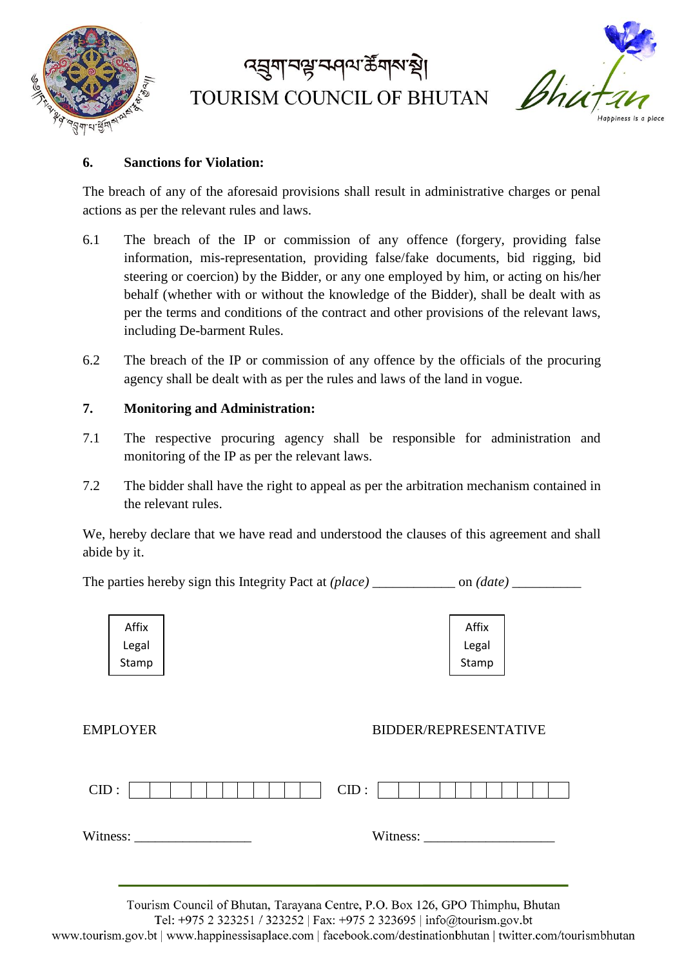

# *ব*র্মুনা বঙ্গ ক্রান ক্রী TOURISM COUNCIL OF BHUTAN



#### **6. Sanctions for Violation:**

The breach of any of the aforesaid provisions shall result in administrative charges or penal actions as per the relevant rules and laws.

- 6.1 The breach of the IP or commission of any offence (forgery, providing false information, mis-representation, providing false/fake documents, bid rigging, bid steering or coercion) by the Bidder, or any one employed by him, or acting on his/her behalf (whether with or without the knowledge of the Bidder), shall be dealt with as per the terms and conditions of the contract and other provisions of the relevant laws, including De-barment Rules.
- 6.2 The breach of the IP or commission of any offence by the officials of the procuring agency shall be dealt with as per the rules and laws of the land in vogue.

#### **7. Monitoring and Administration:**

- 7.1 The respective procuring agency shall be responsible for administration and monitoring of the IP as per the relevant laws.
- 7.2 The bidder shall have the right to appeal as per the arbitration mechanism contained in the relevant rules.

We, hereby declare that we have read and understood the clauses of this agreement and shall abide by it.

The parties hereby sign this Integrity Pact at *(place)* \_\_\_\_\_\_\_\_\_\_\_\_ on *(date) \_\_\_\_\_\_\_\_\_\_*



| Affix |  |
|-------|--|
| Legal |  |
| Stamp |  |

#### EMPLOYER BIDDER/REPRESENTATIVE

| CID:     |  |  | CID: |          |  |  |  |  |
|----------|--|--|------|----------|--|--|--|--|
| Witness: |  |  |      | Witness: |  |  |  |  |

Tourism Council of Bhutan, Tarayana Centre, P.O. Box 126, GPO Thimphu, Bhutan

Tel: +975 2 323251 / 323252 | Fax: +975 2 323695 | info@tourism.gov.bt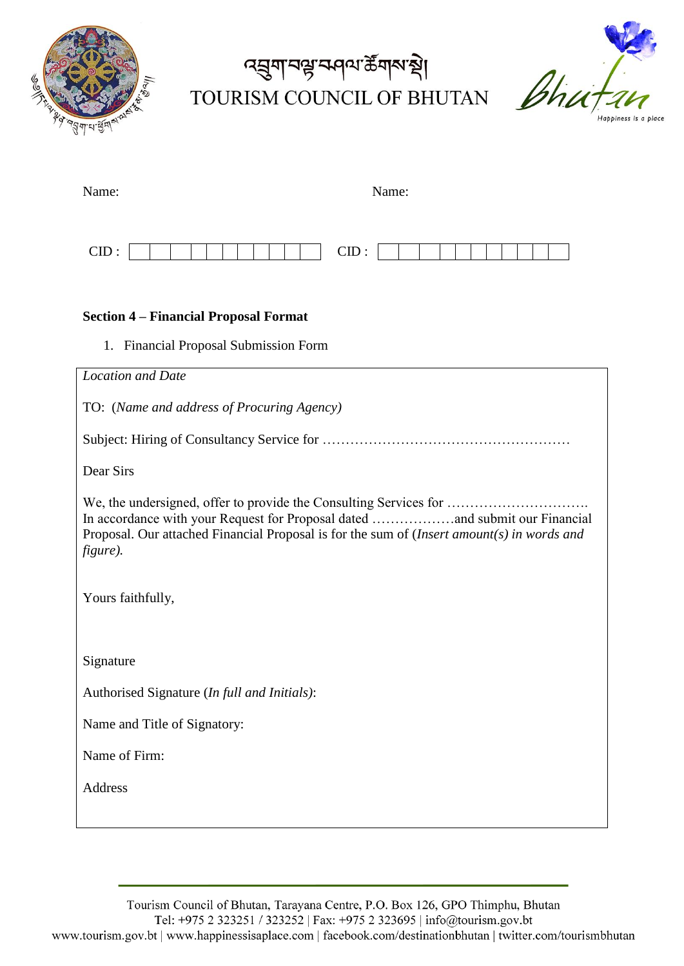

# द्मुगानञ्जन्मवा क्षेत्रारुखे। TOURISM COUNCIL OF BHUTAN



| Name: | Name: |
|-------|-------|
| CID:  | CID:  |

#### **Section 4 – Financial Proposal Format**

1. Financial Proposal Submission Form

| <b>Location and Date</b>                                                                                                                                                                                                                                     |
|--------------------------------------------------------------------------------------------------------------------------------------------------------------------------------------------------------------------------------------------------------------|
| TO: (Name and address of Procuring Agency)                                                                                                                                                                                                                   |
|                                                                                                                                                                                                                                                              |
| Dear Sirs                                                                                                                                                                                                                                                    |
| We, the undersigned, offer to provide the Consulting Services for<br>In accordance with your Request for Proposal dated and submit our Financial<br>Proposal. Our attached Financial Proposal is for the sum of $(Insert amount(s) in words and$<br>figure). |
| Yours faithfully,                                                                                                                                                                                                                                            |
| Signature                                                                                                                                                                                                                                                    |
| Authorised Signature (In full and Initials):                                                                                                                                                                                                                 |
| Name and Title of Signatory:                                                                                                                                                                                                                                 |
| Name of Firm:                                                                                                                                                                                                                                                |
| Address                                                                                                                                                                                                                                                      |
|                                                                                                                                                                                                                                                              |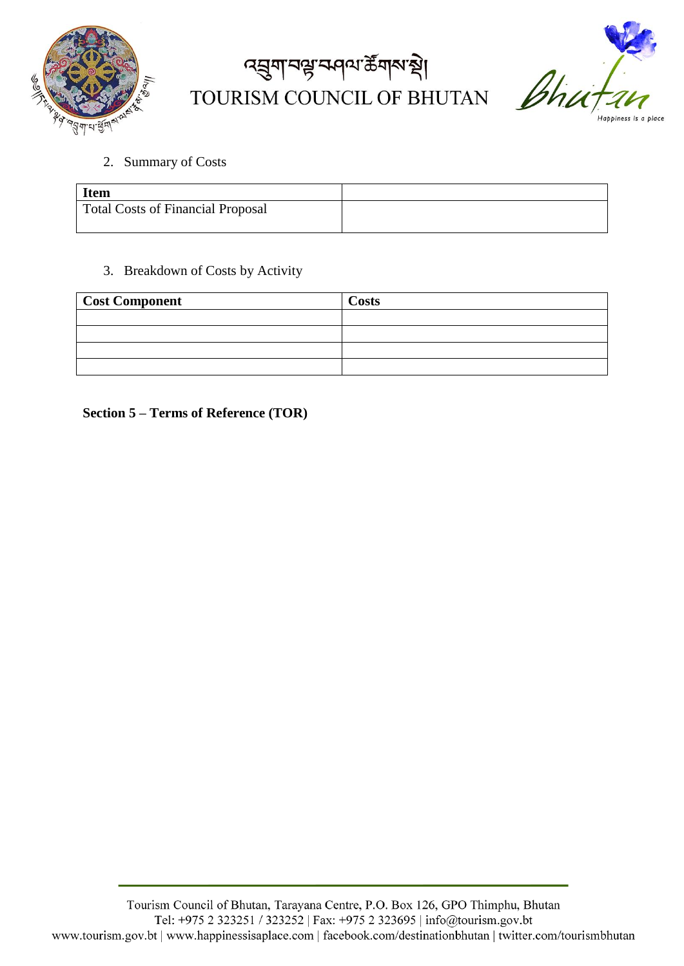

# द्मुगानञ्जन्मवा के गारा थे। TOURISM COUNCIL OF BHUTAN



2. Summary of Costs

| <b>Item</b>                       |  |
|-----------------------------------|--|
| Total Costs of Financial Proposal |  |

3. Breakdown of Costs by Activity

| <b>Cost Component</b> | <b>Costs</b> |
|-----------------------|--------------|
|                       |              |
|                       |              |
|                       |              |
|                       |              |

**Section 5 – Terms of Reference (TOR)**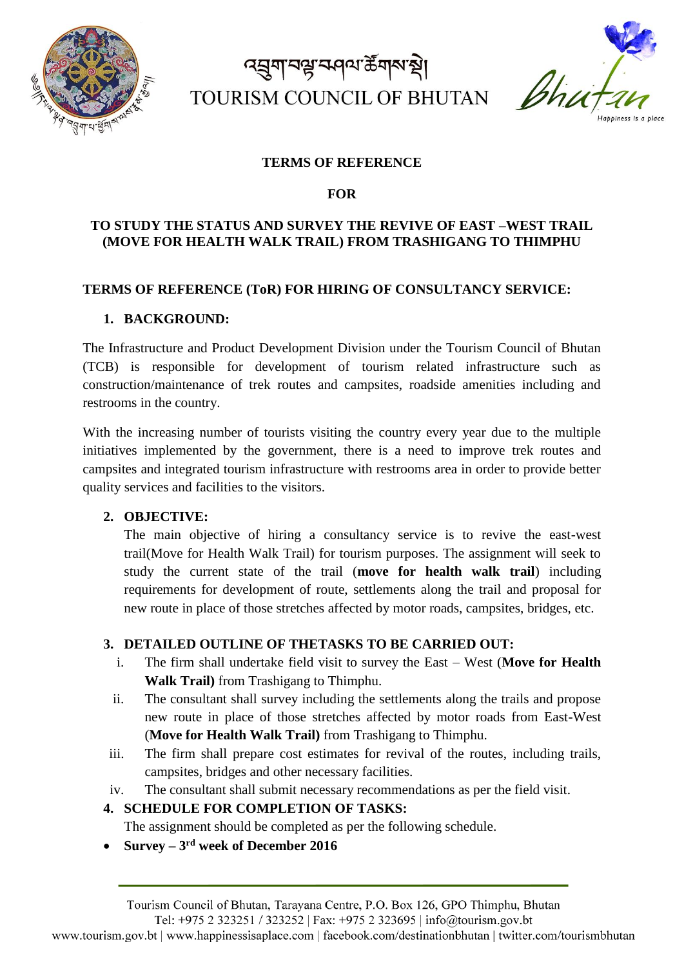

# त्सुगानञ्जज्ञमण्डामारुषे। TOURISM COUNCIL OF BHUTAN

Bhu

#### **TERMS OF REFERENCE**

**FOR** 

### **TO STUDY THE STATUS AND SURVEY THE REVIVE OF EAST –WEST TRAIL (MOVE FOR HEALTH WALK TRAIL) FROM TRASHIGANG TO THIMPHU**

#### **TERMS OF REFERENCE (ToR) FOR HIRING OF CONSULTANCY SERVICE:**

#### **1. BACKGROUND:**

The Infrastructure and Product Development Division under the Tourism Council of Bhutan (TCB) is responsible for development of tourism related infrastructure such as construction/maintenance of trek routes and campsites, roadside amenities including and restrooms in the country.

With the increasing number of tourists visiting the country every year due to the multiple initiatives implemented by the government, there is a need to improve trek routes and campsites and integrated tourism infrastructure with restrooms area in order to provide better quality services and facilities to the visitors.

### **2. OBJECTIVE:**

The main objective of hiring a consultancy service is to revive the east-west trail(Move for Health Walk Trail) for tourism purposes. The assignment will seek to study the current state of the trail (**move for health walk trail**) including requirements for development of route, settlements along the trail and proposal for new route in place of those stretches affected by motor roads, campsites, bridges, etc.

### **3. DETAILED OUTLINE OF THETASKS TO BE CARRIED OUT:**

- i. The firm shall undertake field visit to survey the East West (**Move for Health Walk Trail)** from Trashigang to Thimphu.
- ii. The consultant shall survey including the settlements along the trails and propose new route in place of those stretches affected by motor roads from East-West (**Move for Health Walk Trail)** from Trashigang to Thimphu.
- iii. The firm shall prepare cost estimates for revival of the routes, including trails, campsites, bridges and other necessary facilities.
- iv. The consultant shall submit necessary recommendations as per the field visit.

### **4. SCHEDULE FOR COMPLETION OF TASKS:**

The assignment should be completed as per the following schedule.

**Survey – 3 rd week of December 2016**

Tel: +975 2 323251 / 323252 | Fax: +975 2 323695 | info@tourism.gov.bt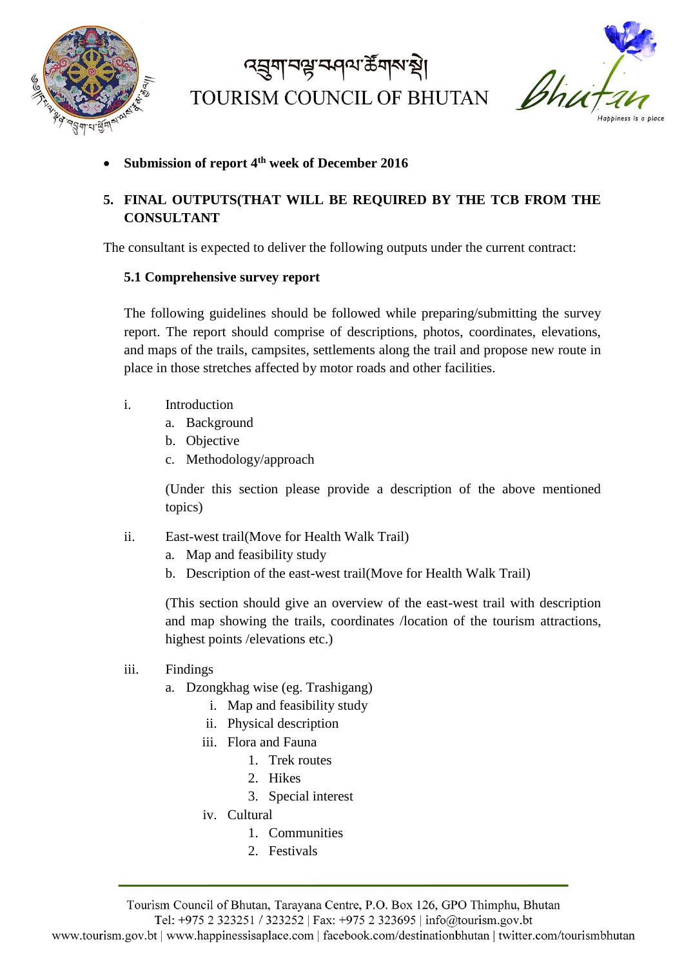

ৰ্ঘ্ৰুণ বঙ্ক কৰি কুৱাৰ প্ৰা TOURISM COUNCIL OF BHUTAN



**Submission of report 4th week of December 2016**

### **5. FINAL OUTPUTS(THAT WILL BE REQUIRED BY THE TCB FROM THE CONSULTANT**

The consultant is expected to deliver the following outputs under the current contract:

### **5.1 Comprehensive survey report**

The following guidelines should be followed while preparing/submitting the survey report. The report should comprise of descriptions, photos, coordinates, elevations, and maps of the trails, campsites, settlements along the trail and propose new route in place in those stretches affected by motor roads and other facilities.

- i. Introduction
	- a. Background
	- b. Objective
	- c. Methodology/approach

(Under this section please provide a description of the above mentioned topics)

- ii. East-west trail(Move for Health Walk Trail)
	- a. Map and feasibility study
	- b. Description of the east-west trail(Move for Health Walk Trail)

(This section should give an overview of the east-west trail with description and map showing the trails, coordinates /location of the tourism attractions, highest points /elevations etc.)

- iii. Findings
	- a. Dzongkhag wise (eg. Trashigang)
		- i. Map and feasibility study
		- ii. Physical description
		- iii. Flora and Fauna
			- 1. Trek routes
			- 2. Hikes
			- 3. Special interest
		- iv. Cultural
			- 1. Communities
			- 2. Festivals

Tourism Council of Bhutan, Tarayana Centre, P.O. Box 126, GPO Thimphu, Bhutan

Tel: +975 2 323251 / 323252 | Fax: +975 2 323695 | info@tourism.gov.bt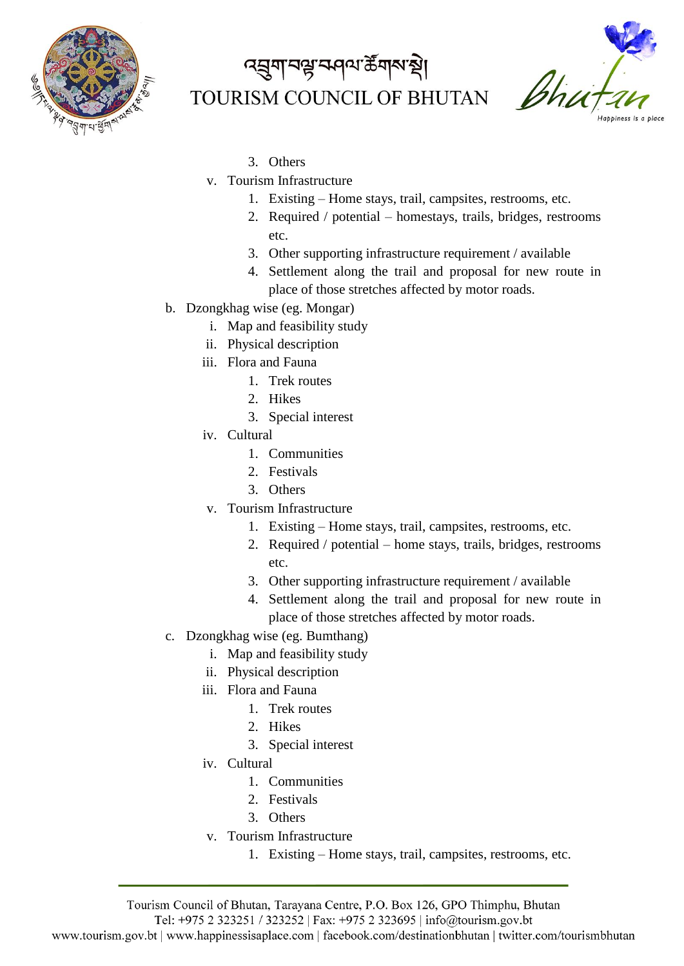

# द्मुगानञ्जन्मवारा के गारा स् TOURISM COUNCIL OF BHUTAN



- 3. Others
- v. Tourism Infrastructure
	- 1. Existing Home stays, trail, campsites, restrooms, etc.
	- 2. Required / potential homestays, trails, bridges, restrooms etc.
	- 3. Other supporting infrastructure requirement / available
	- 4. Settlement along the trail and proposal for new route in place of those stretches affected by motor roads.
- b. Dzongkhag wise (eg. Mongar)
	- i. Map and feasibility study
	- ii. Physical description
	- iii. Flora and Fauna
		- 1. Trek routes
		- 2. Hikes
		- 3. Special interest
	- iv. Cultural
		- 1. Communities
		- 2. Festivals
		- 3. Others
	- v. Tourism Infrastructure
		- 1. Existing Home stays, trail, campsites, restrooms, etc.
		- 2. Required / potential home stays, trails, bridges, restrooms etc.
		- 3. Other supporting infrastructure requirement / available
		- 4. Settlement along the trail and proposal for new route in place of those stretches affected by motor roads.
- c. Dzongkhag wise (eg. Bumthang)
	- i. Map and feasibility study
	- ii. Physical description
	- iii. Flora and Fauna
		- 1. Trek routes
		- 2. Hikes
		- 3. Special interest
	- iv. Cultural
		- 1. Communities
		- 2. Festivals
		- 3. Others
	- v. Tourism Infrastructure
		- 1. Existing Home stays, trail, campsites, restrooms, etc.

Tel: +975 2 323251 / 323252 | Fax: +975 2 323695 | info@tourism.gov.bt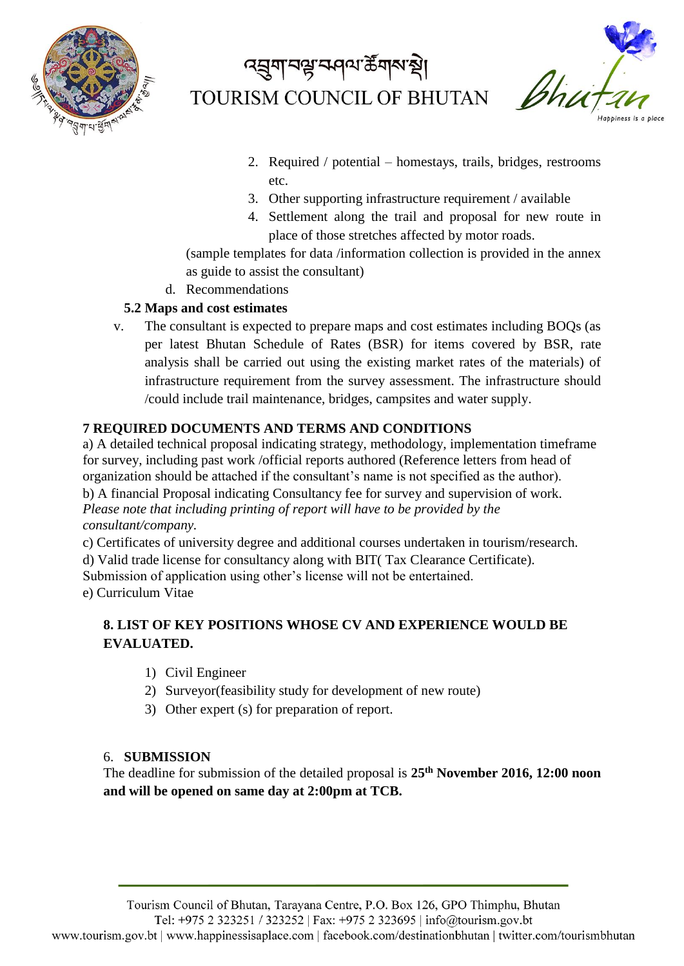

Bhu

- 2. Required / potential homestays, trails, bridges, restrooms etc.
- 3. Other supporting infrastructure requirement / available
- 4. Settlement along the trail and proposal for new route in place of those stretches affected by motor roads.

(sample templates for data /information collection is provided in the annex as guide to assist the consultant)

d. Recommendations

### **5.2 Maps and cost estimates**

v. The consultant is expected to prepare maps and cost estimates including BOQs (as per latest Bhutan Schedule of Rates (BSR) for items covered by BSR, rate analysis shall be carried out using the existing market rates of the materials) of infrastructure requirement from the survey assessment. The infrastructure should /could include trail maintenance, bridges, campsites and water supply.

### **7 REQUIRED DOCUMENTS AND TERMS AND CONDITIONS**

a) A detailed technical proposal indicating strategy, methodology, implementation timeframe for survey, including past work /official reports authored (Reference letters from head of organization should be attached if the consultant's name is not specified as the author). b) A financial Proposal indicating Consultancy fee for survey and supervision of work. *Please note that including printing of report will have to be provided by the consultant/company.* 

c) Certificates of university degree and additional courses undertaken in tourism/research.

d) Valid trade license for consultancy along with BIT( Tax Clearance Certificate).

Submission of application using other's license will not be entertained.

e) Curriculum Vitae

### **8. LIST OF KEY POSITIONS WHOSE CV AND EXPERIENCE WOULD BE EVALUATED.**

- 1) Civil Engineer
- 2) Surveyor(feasibility study for development of new route)
- 3) Other expert (s) for preparation of report.

### 6. **SUBMISSION**

The deadline for submission of the detailed proposal is **25th November 2016, 12:00 noon and will be opened on same day at 2:00pm at TCB.**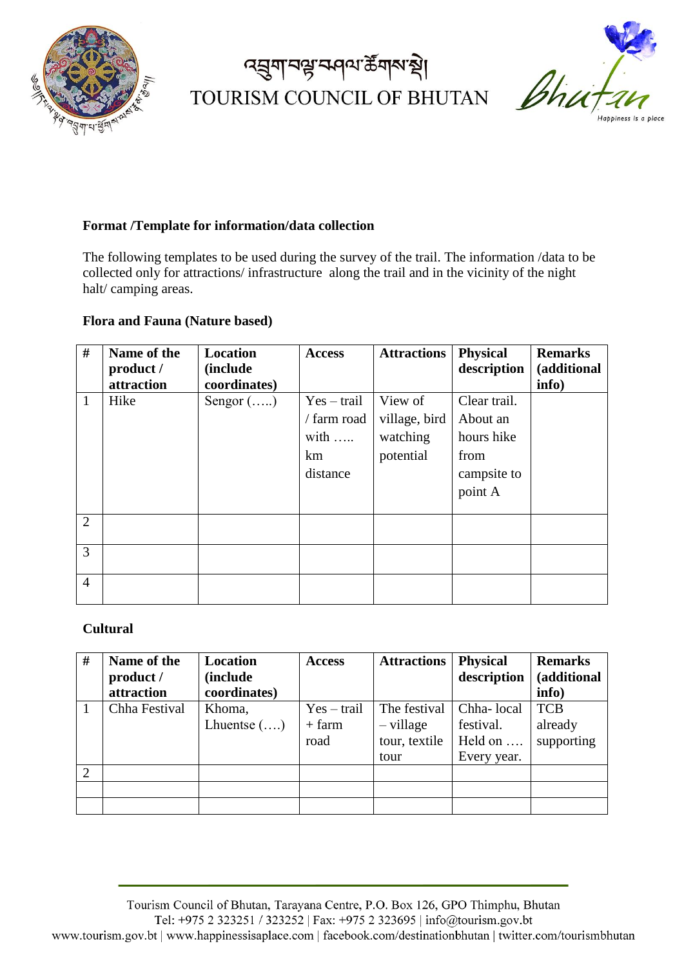

# द्मुगानञ्जन्मवा केंगलक्ष् TOURISM COUNCIL OF BHUTAN



#### **Format /Template for information/data collection**

The following templates to be used during the survey of the trail. The information /data to be collected only for attractions/ infrastructure along the trail and in the vicinity of the night halt/ camping areas.

#### **Flora and Fauna (Nature based)**

| #              | Name of the | <b>Location</b>   | <b>Access</b> | <b>Attractions</b> | <b>Physical</b> | <b>Remarks</b> |
|----------------|-------------|-------------------|---------------|--------------------|-----------------|----------------|
|                | product /   | <i>(include)</i>  |               |                    | description     | (additional    |
|                | attraction  | coordinates)      |               |                    |                 | info)          |
| $\mathbf{1}$   | Hike        | Sengor $(\ldots)$ | $Yes - trail$ | View of            | Clear trail.    |                |
|                |             |                   | / farm road   | village, bird      | About an        |                |
|                |             |                   | with $\ldots$ | watching           | hours hike      |                |
|                |             |                   | km            | potential          | from            |                |
|                |             |                   | distance      |                    | campsite to     |                |
|                |             |                   |               |                    | point A         |                |
|                |             |                   |               |                    |                 |                |
| $\overline{2}$ |             |                   |               |                    |                 |                |
| 3              |             |                   |               |                    |                 |                |
| $\overline{4}$ |             |                   |               |                    |                 |                |

#### **Cultural**

| #              | Name of the<br>product /<br>attraction | Location<br>(include<br>coordinates) | <b>Access</b>                     | <b>Attractions</b>                                   | <b>Physical</b><br>description                    | <b>Remarks</b><br>(additional<br>info) |
|----------------|----------------------------------------|--------------------------------------|-----------------------------------|------------------------------------------------------|---------------------------------------------------|----------------------------------------|
|                | Chha Festival                          | Khoma,<br>Lhuentse $(\ldots)$        | $Yes - trail$<br>$+$ farm<br>road | The festival<br>$-$ village<br>tour, textile<br>tour | Chha-local<br>festival.<br>Held on<br>Every year. | <b>TCB</b><br>already<br>supporting    |
| $\overline{2}$ |                                        |                                      |                                   |                                                      |                                                   |                                        |
|                |                                        |                                      |                                   |                                                      |                                                   |                                        |
|                |                                        |                                      |                                   |                                                      |                                                   |                                        |

Tourism Council of Bhutan, Tarayana Centre, P.O. Box 126, GPO Thimphu, Bhutan Tel: +975 2 323251 / 323252 | Fax: +975 2 323695 | info@tourism.gov.bt www.tourism.gov.bt | www.happinessisaplace.com | facebook.com/destinationbhutan | twitter.com/tourismbhutan